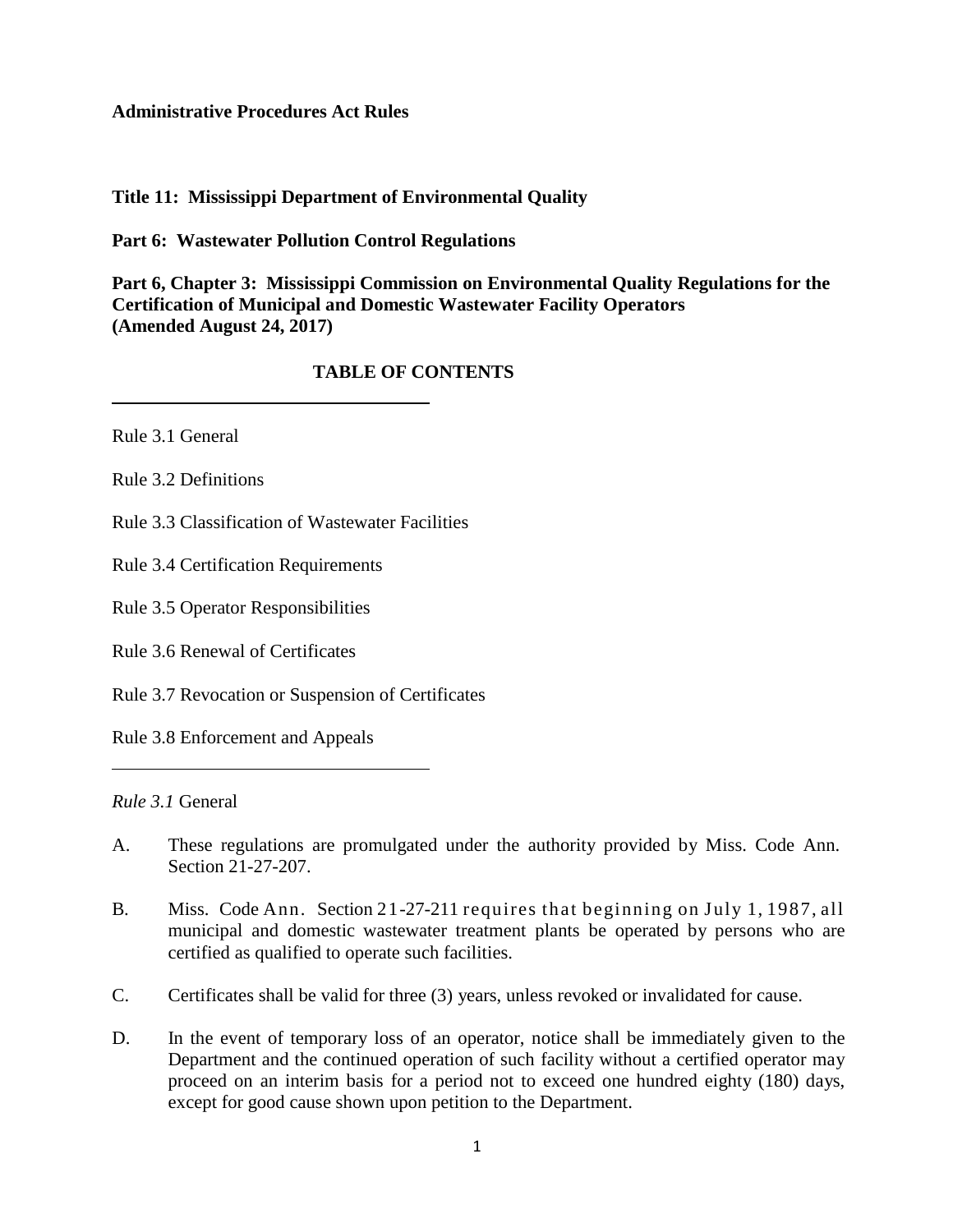#### **Administrative Procedures Act Rules**

#### **Title 11: Mississippi Department of Environmental Quality**

**Part 6: Wastewater Pollution Control Regulations**

**Part 6, Chapter 3: Mississippi Commission on Environmental Quality Regulations for the Certification of Municipal and Domestic Wastewater Facility Operators (Amended August 24, 2017)**

### **TABLE OF CONTENTS**

Rule 3.1 General

Rule 3.2 Definitions

Rule 3.3 Classification of Wastewater Facilities

Rule 3.4 Certification Requirements

Rule 3.5 Operator Responsibilities

Rule 3.6 Renewal of Certificates

Rule 3.7 Revocation or Suspension of Certificates

Rule 3.8 Enforcement and Appeals

*Rule 3.1* General

- A. These regulations are promulgated under the authority provided by Miss. Code Ann. Section 21-27-207.
- B. Miss. Code Ann. Section 21-27-211 requires that beginning on July 1, 1987, all municipal and domestic wastewater treatment plants be operated by persons who are certified as qualified to operate such facilities.
- C. Certificates shall be valid for three (3) years, unless revoked or invalidated for cause.
- D. In the event of temporary loss of an operator, notice shall be immediately given to the Department and the continued operation of such facility without a certified operator may proceed on an interim basis for a period not to exceed one hundred eighty (180) days, except for good cause shown upon petition to the Department.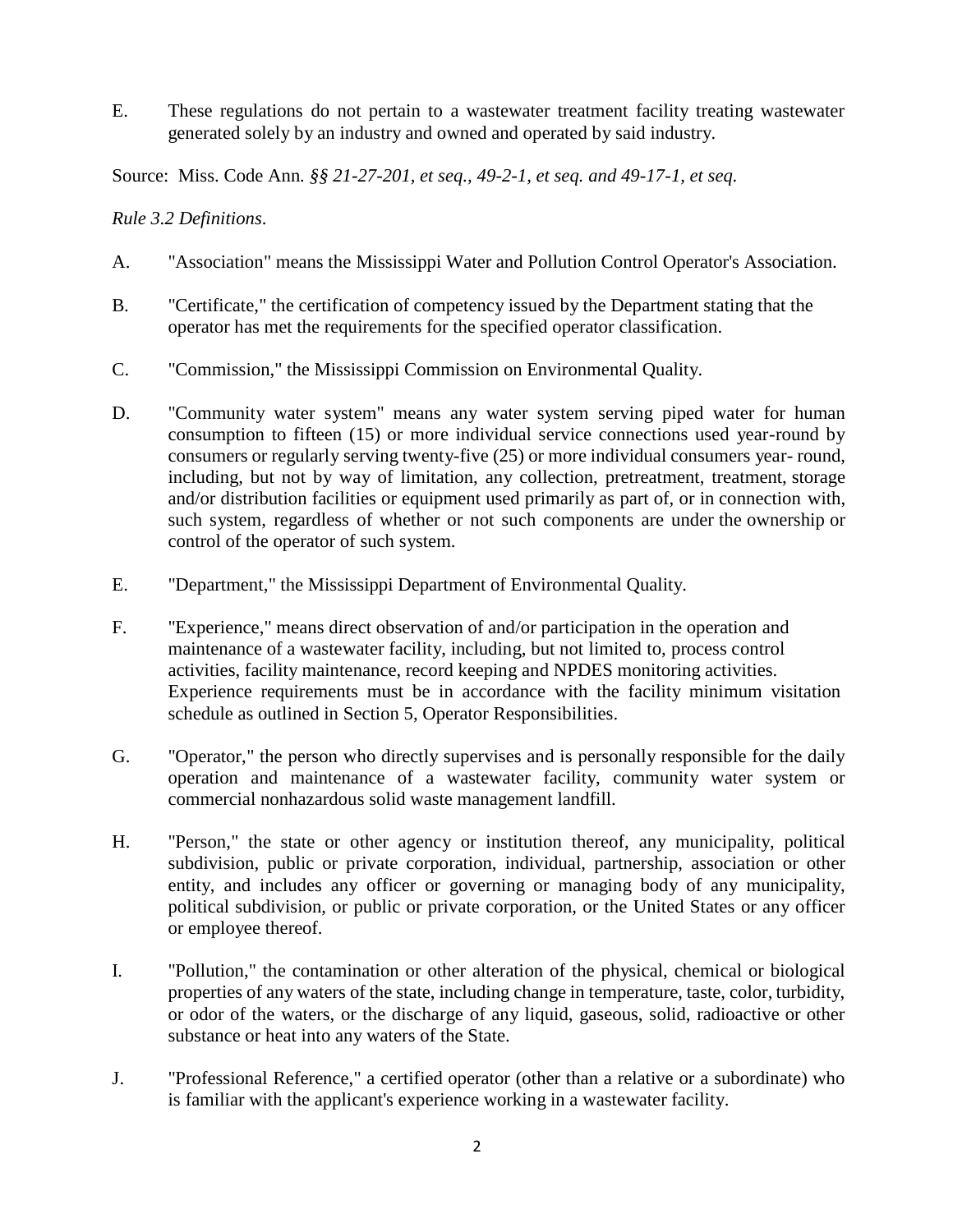E. These regulations do not pertain to a wastewater treatment facility treating wastewater generated solely by an industry and owned and operated by said industry.

Source: Miss. Code Ann*. §§ 21-27-201, et seq., 49-2-1, et seq. and 49-17-1, et seq.* 

## *Rule 3.2 Definitions*.

- A. "Association" means the Mississippi Water and Pollution Control Operator's Association.
- B. "Certificate," the certification of competency issued by the Department stating that the operator has met the requirements for the specified operator classification.
- C. "Commission," the Mississippi Commission on Environmental Quality.
- D. "Community water system" means any water system serving piped water for human consumption to fifteen (15) or more individual service connections used year-round by consumers or regularly serving twenty-five (25) or more individual consumers year- round, including, but not by way of limitation, any collection, pretreatment, treatment, storage and/or distribution facilities or equipment used primarily as part of, or in connection with, such system, regardless of whether or not such components are under the ownership or control of the operator of such system.
- E. "Department," the Mississippi Department of Environmental Quality.
- F. "Experience," means direct observation of and/or participation in the operation and maintenance of a wastewater facility, including, but not limited to, process control activities, facility maintenance, record keeping and NPDES monitoring activities. Experience requirements must be in accordance with the facility minimum visitation schedule as outlined in Section 5, Operator Responsibilities.
- G. "Operator," the person who directly supervises and is personally responsible for the daily operation and maintenance of a wastewater facility, community water system or commercial nonhazardous solid waste management landfill.
- H. "Person," the state or other agency or institution thereof, any municipality, political subdivision, public or private corporation, individual, partnership, association or other entity, and includes any officer or governing or managing body of any municipality, political subdivision, or public or private corporation, or the United States or any officer or employee thereof.
- I. "Pollution," the contamination or other alteration of the physical, chemical or biological properties of any waters of the state, including change in temperature, taste, color, turbidity, or odor of the waters, or the discharge of any liquid, gaseous, solid, radioactive or other substance or heat into any waters of the State.
- J. "Professional Reference," a certified operator (other than a relative or a subordinate) who is familiar with the applicant's experience working in a wastewater facility.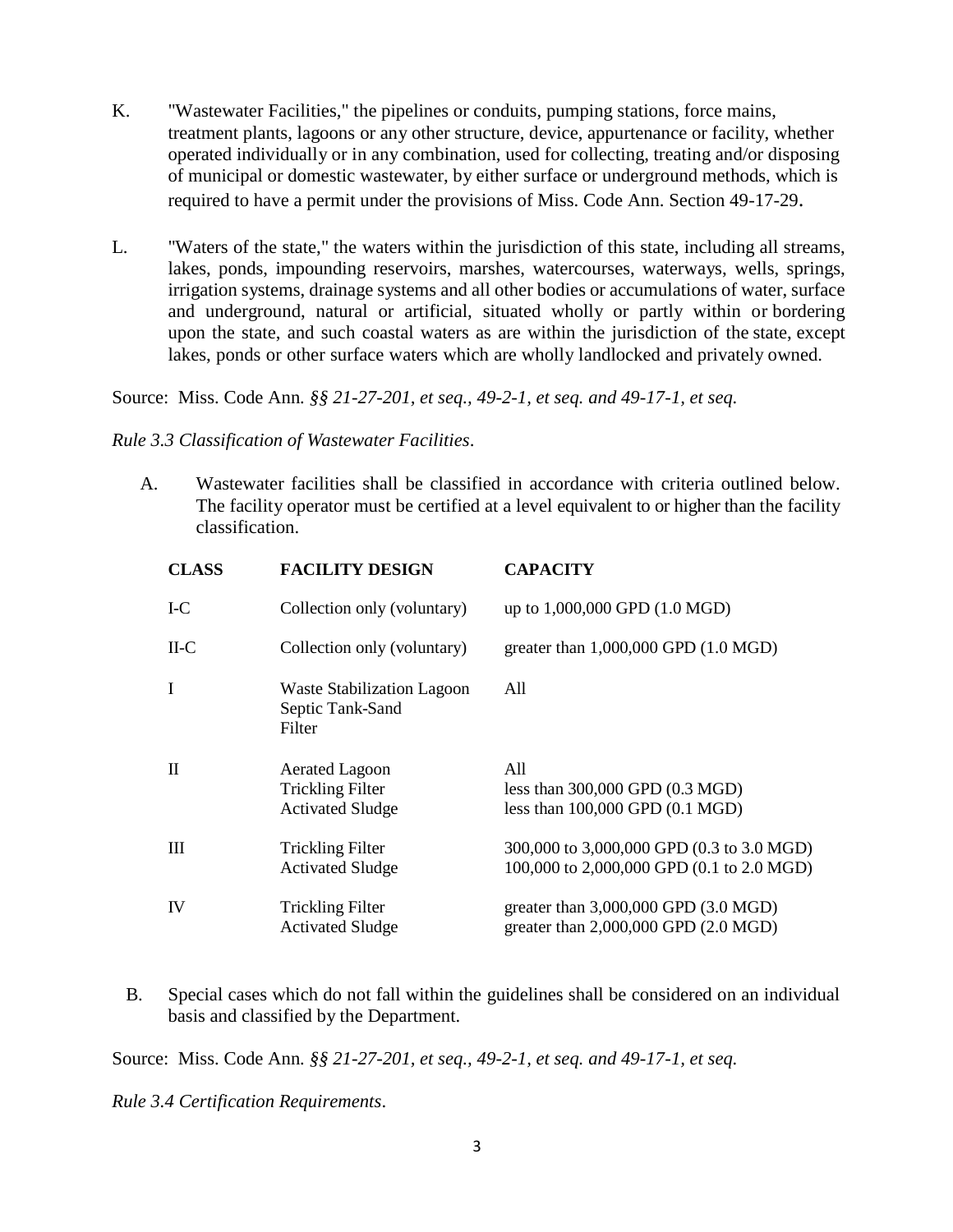- K. "Wastewater Facilities," the pipelines or conduits, pumping stations, force mains, treatment plants, lagoons or any other structure, device, appurtenance or facility, whether operated individually or in any combination, used for collecting, treating and/or disposing of municipal or domestic wastewater, by either surface or underground methods, which is required to have a permit under the provisions of Miss. Code Ann. Section 49-17-29.
- L. "Waters of the state," the waters within the jurisdiction of this state, including all streams, lakes, ponds, impounding reservoirs, marshes, watercourses, waterways, wells, springs, irrigation systems, drainage systems and all other bodies or accumulations of water, surface and underground, natural or artificial, situated wholly or partly within or bordering upon the state, and such coastal waters as are within the jurisdiction of the state, except lakes, ponds or other surface waters which are wholly landlocked and privately owned.

Source: Miss. Code Ann*. §§ 21-27-201, et seq., 49-2-1, et seq. and 49-17-1, et seq.* 

#### *Rule 3.3 Classification of Wastewater Facilities*.

A. Wastewater facilities shall be classified in accordance with criteria outlined below. The facility operator must be certified at a level equivalent to or higher than the facility classification.

| <b>CLASS</b> | <b>FACILITY DESIGN</b>                                                      | <b>CAPACITY</b>                                                                                      |
|--------------|-----------------------------------------------------------------------------|------------------------------------------------------------------------------------------------------|
| I-C          | Collection only (voluntary)                                                 | up to 1,000,000 GPD (1.0 MGD)                                                                        |
| $II-C$       | Collection only (voluntary)                                                 | greater than $1,000,000$ GPD $(1.0 \text{ MGD})$                                                     |
| I            | <b>Waste Stabilization Lagoon</b><br>Septic Tank-Sand<br>Filter             | All                                                                                                  |
| $\mathbf{I}$ | <b>Aerated Lagoon</b><br><b>Trickling Filter</b><br><b>Activated Sludge</b> | A11<br>less than $300,000$ GPD $(0.3 \text{ MGD})$<br>less than $100,000$ GPD $(0.1 \text{ MGD})$    |
| Ш            | <b>Trickling Filter</b><br><b>Activated Sludge</b>                          | 300,000 to 3,000,000 GPD (0.3 to 3.0 MGD)<br>100,000 to 2,000,000 GPD (0.1 to 2.0 MGD)               |
| IV           | <b>Trickling Filter</b><br><b>Activated Sludge</b>                          | greater than $3,000,000$ GPD $(3.0 \text{ MGD})$<br>greater than $2,000,000$ GPD $(2.0 \text{ MGD})$ |

B. Special cases which do not fall within the guidelines shall be considered on an individual basis and classified by the Department.

Source: Miss. Code Ann*. §§ 21-27-201, et seq., 49-2-1, et seq. and 49-17-1, et seq.* 

*Rule 3.4 Certification Requirements*.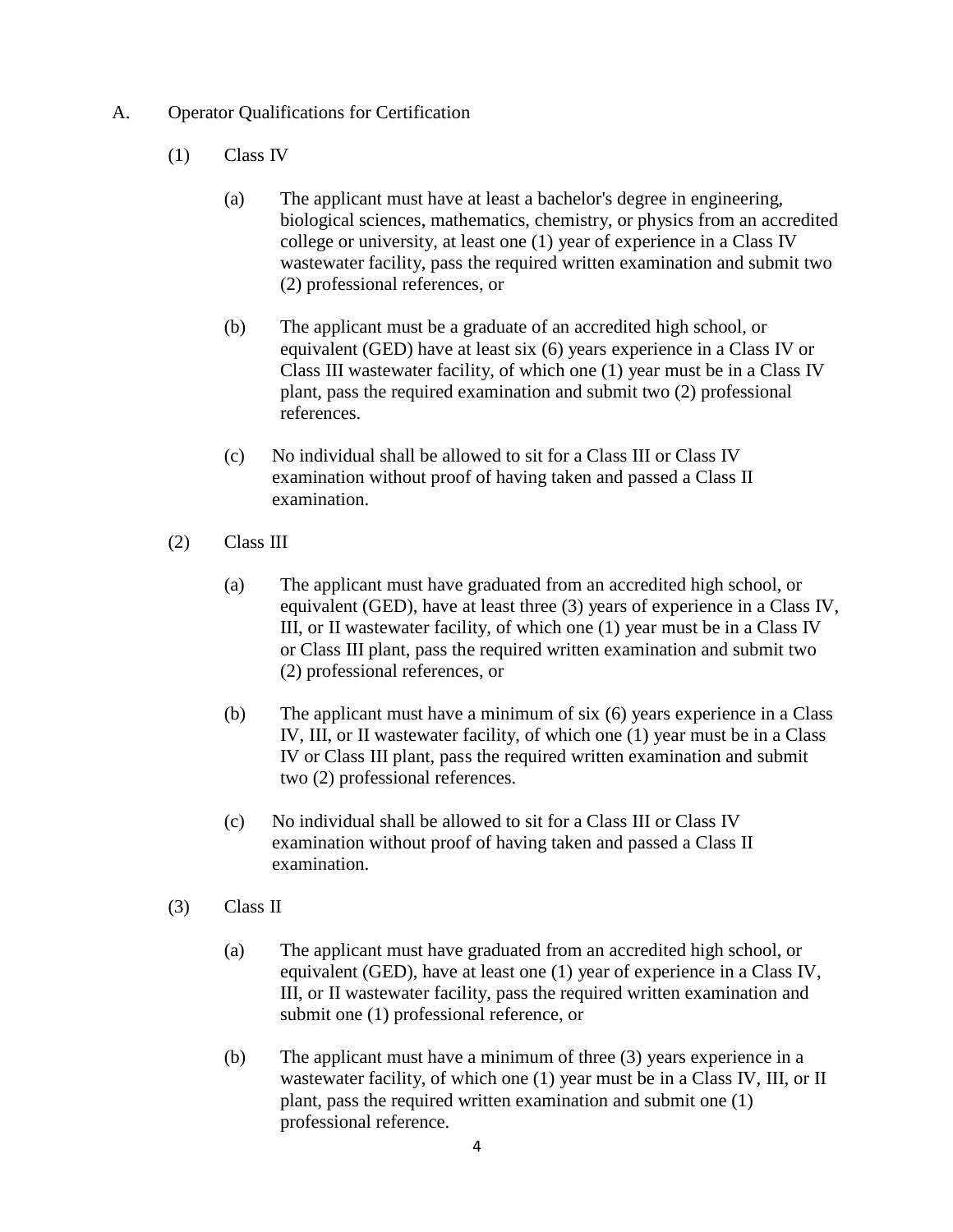## A. Operator Qualifications for Certification

- (1) Class IV
	- (a) The applicant must have at least a bachelor's degree in engineering, biological sciences, mathematics, chemistry, or physics from an accredited college or university, at least one (1) year of experience in a Class IV wastewater facility, pass the required written examination and submit two (2) professional references, or
	- (b) The applicant must be a graduate of an accredited high school, or equivalent (GED) have at least six (6) years experience in a Class IV or Class III wastewater facility, of which one (1) year must be in a Class IV plant, pass the required examination and submit two (2) professional references.
	- (c) No individual shall be allowed to sit for a Class III or Class IV examination without proof of having taken and passed a Class II examination.
- (2) Class III
	- (a) The applicant must have graduated from an accredited high school, or equivalent (GED), have at least three (3) years of experience in a Class IV, III, or II wastewater facility, of which one (1) year must be in a Class IV or Class III plant, pass the required written examination and submit two (2) professional references, or
	- (b) The applicant must have a minimum of six (6) years experience in a Class IV, III, or II wastewater facility, of which one (1) year must be in a Class IV or Class III plant, pass the required written examination and submit two (2) professional references.
	- (c) No individual shall be allowed to sit for a Class III or Class IV examination without proof of having taken and passed a Class II examination.
- (3) Class II
	- (a) The applicant must have graduated from an accredited high school, or equivalent (GED), have at least one (1) year of experience in a Class IV, III, or II wastewater facility, pass the required written examination and submit one (1) professional reference, or
	- (b) The applicant must have a minimum of three (3) years experience in a wastewater facility, of which one (1) year must be in a Class IV, III, or II plant, pass the required written examination and submit one (1) professional reference.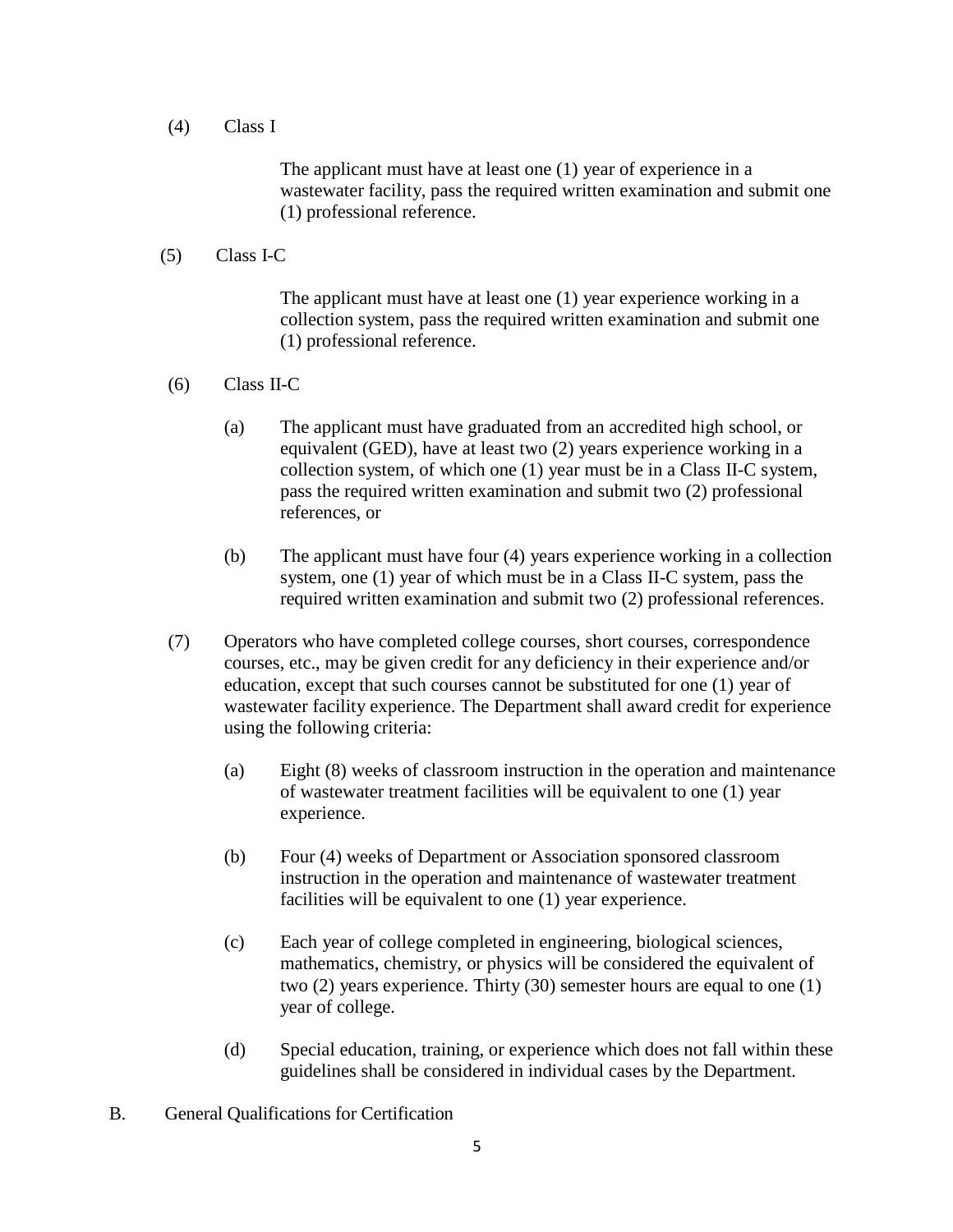(4) Class I

The applicant must have at least one (1) year of experience in a wastewater facility, pass the required written examination and submit one (1) professional reference.

(5) Class I-C

The applicant must have at least one (1) year experience working in a collection system, pass the required written examination and submit one (1) professional reference.

- (6) Class II-C
	- (a) The applicant must have graduated from an accredited high school, or equivalent (GED), have at least two (2) years experience working in a collection system, of which one (1) year must be in a Class II-C system, pass the required written examination and submit two (2) professional references, or
	- (b) The applicant must have four (4) years experience working in a collection system, one (1) year of which must be in a Class II-C system, pass the required written examination and submit two (2) professional references.
- (7) Operators who have completed college courses, short courses, correspondence courses, etc., may be given credit for any deficiency in their experience and/or education, except that such courses cannot be substituted for one (1) year of wastewater facility experience. The Department shall award credit for experience using the following criteria:
	- (a) Eight (8) weeks of classroom instruction in the operation and maintenance of wastewater treatment facilities will be equivalent to one (1) year experience.
	- (b) Four (4) weeks of Department or Association sponsored classroom instruction in the operation and maintenance of wastewater treatment facilities will be equivalent to one (1) year experience.
	- (c) Each year of college completed in engineering, biological sciences, mathematics, chemistry, or physics will be considered the equivalent of two (2) years experience. Thirty (30) semester hours are equal to one (1) year of college.
	- (d) Special education, training, or experience which does not fall within these guidelines shall be considered in individual cases by the Department.
- B. General Qualifications for Certification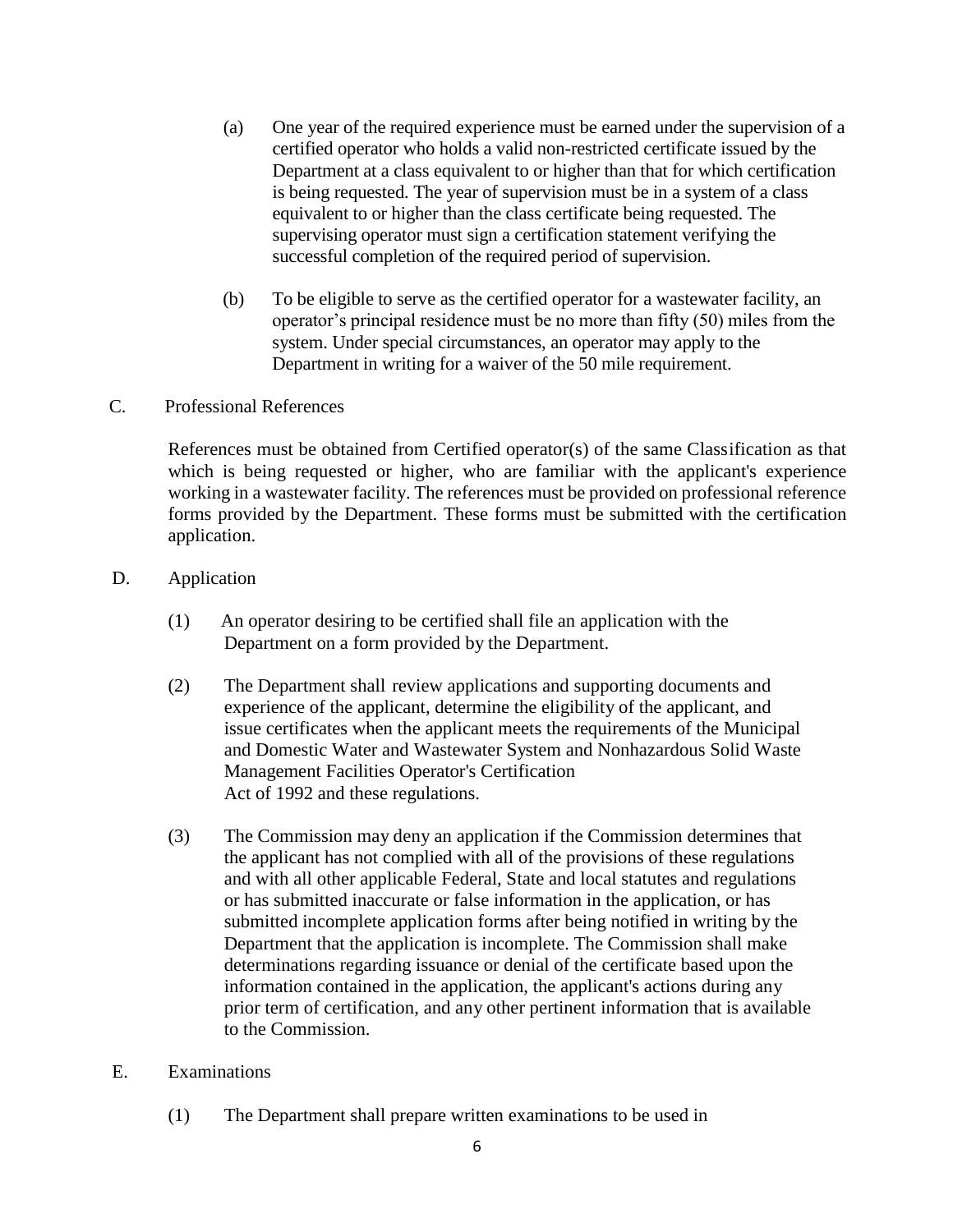- (a) One year of the required experience must be earned under the supervision of a certified operator who holds a valid non-restricted certificate issued by the Department at a class equivalent to or higher than that for which certification is being requested. The year of supervision must be in a system of a class equivalent to or higher than the class certificate being requested. The supervising operator must sign a certification statement verifying the successful completion of the required period of supervision.
- (b) To be eligible to serve as the certified operator for a wastewater facility, an operator's principal residence must be no more than fifty (50) miles from the system. Under special circumstances, an operator may apply to the Department in writing for a waiver of the 50 mile requirement.

### C. Professional References

References must be obtained from Certified operator(s) of the same Classification as that which is being requested or higher, who are familiar with the applicant's experience working in a wastewater facility. The references must be provided on professional reference forms provided by the Department. These forms must be submitted with the certification application.

### D. Application

- (1) An operator desiring to be certified shall file an application with the Department on a form provided by the Department.
- (2) The Department shall review applications and supporting documents and experience of the applicant, determine the eligibility of the applicant, and issue certificates when the applicant meets the requirements of the Municipal and Domestic Water and Wastewater System and Nonhazardous Solid Waste Management Facilities Operator's Certification Act of 1992 and these regulations.
- (3) The Commission may deny an application if the Commission determines that the applicant has not complied with all of the provisions of these regulations and with all other applicable Federal, State and local statutes and regulations or has submitted inaccurate or false information in the application, or has submitted incomplete application forms after being notified in writing by the Department that the application is incomplete. The Commission shall make determinations regarding issuance or denial of the certificate based upon the information contained in the application, the applicant's actions during any prior term of certification, and any other pertinent information that is available to the Commission.

### E. Examinations

(1) The Department shall prepare written examinations to be used in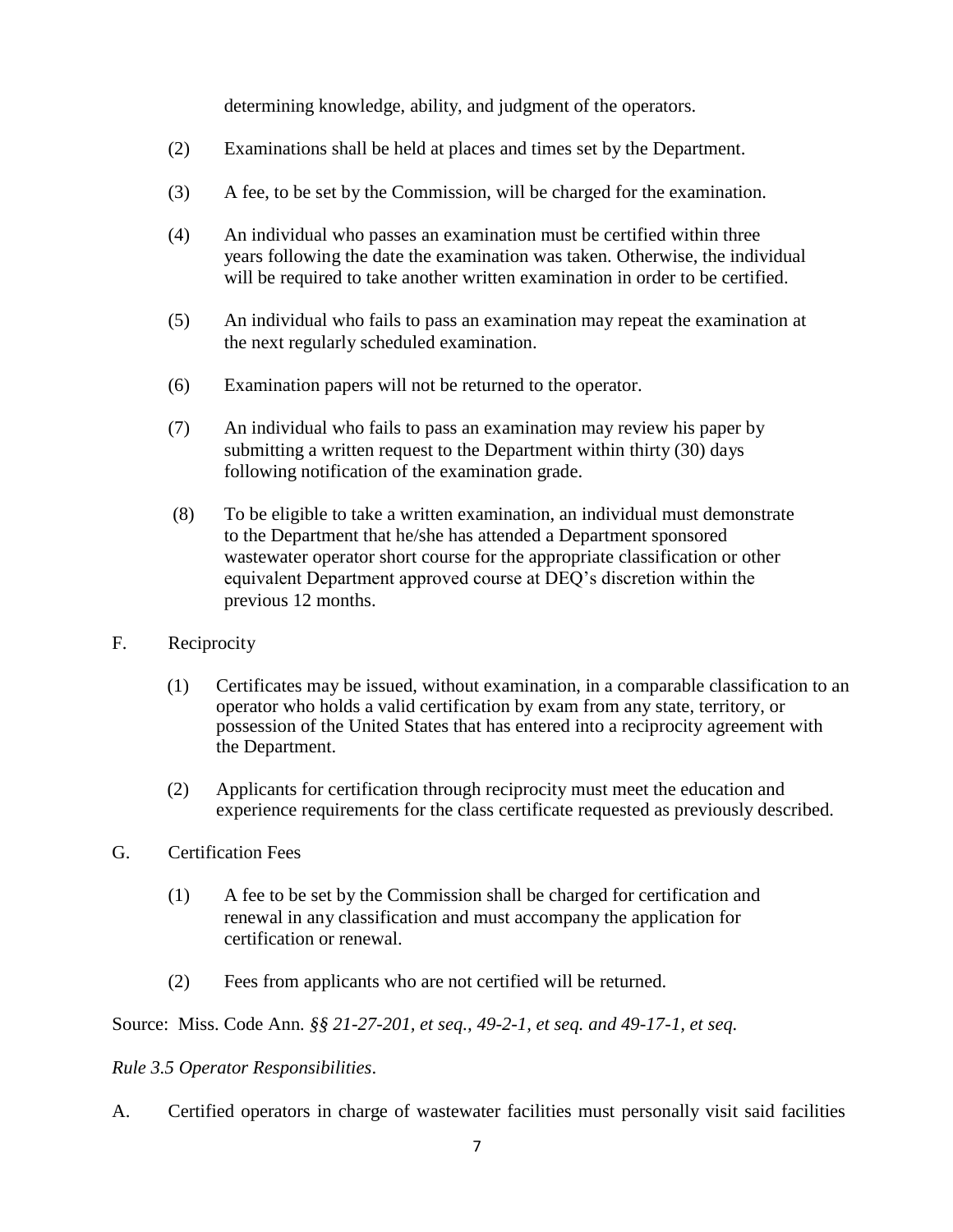determining knowledge, ability, and judgment of the operators.

- (2) Examinations shall be held at places and times set by the Department.
- (3) A fee, to be set by the Commission, will be charged for the examination.
- (4) An individual who passes an examination must be certified within three years following the date the examination was taken. Otherwise, the individual will be required to take another written examination in order to be certified.
- (5) An individual who fails to pass an examination may repeat the examination at the next regularly scheduled examination.
- (6) Examination papers will not be returned to the operator.
- (7) An individual who fails to pass an examination may review his paper by submitting a written request to the Department within thirty (30) days following notification of the examination grade.
- (8) To be eligible to take a written examination, an individual must demonstrate to the Department that he/she has attended a Department sponsored wastewater operator short course for the appropriate classification or other equivalent Department approved course at DEQ's discretion within the previous 12 months.
- F. Reciprocity
	- (1) Certificates may be issued, without examination, in a comparable classification to an operator who holds a valid certification by exam from any state, territory, or possession of the United States that has entered into a reciprocity agreement with the Department.
	- (2) Applicants for certification through reciprocity must meet the education and experience requirements for the class certificate requested as previously described.
- G. Certification Fees
	- (1) A fee to be set by the Commission shall be charged for certification and renewal in any classification and must accompany the application for certification or renewal.
	- (2) Fees from applicants who are not certified will be returned.

Source: Miss. Code Ann*. §§ 21-27-201, et seq., 49-2-1, et seq. and 49-17-1, et seq.* 

# *Rule 3.5 Operator Responsibilities*.

A. Certified operators in charge of wastewater facilities must personally visit said facilities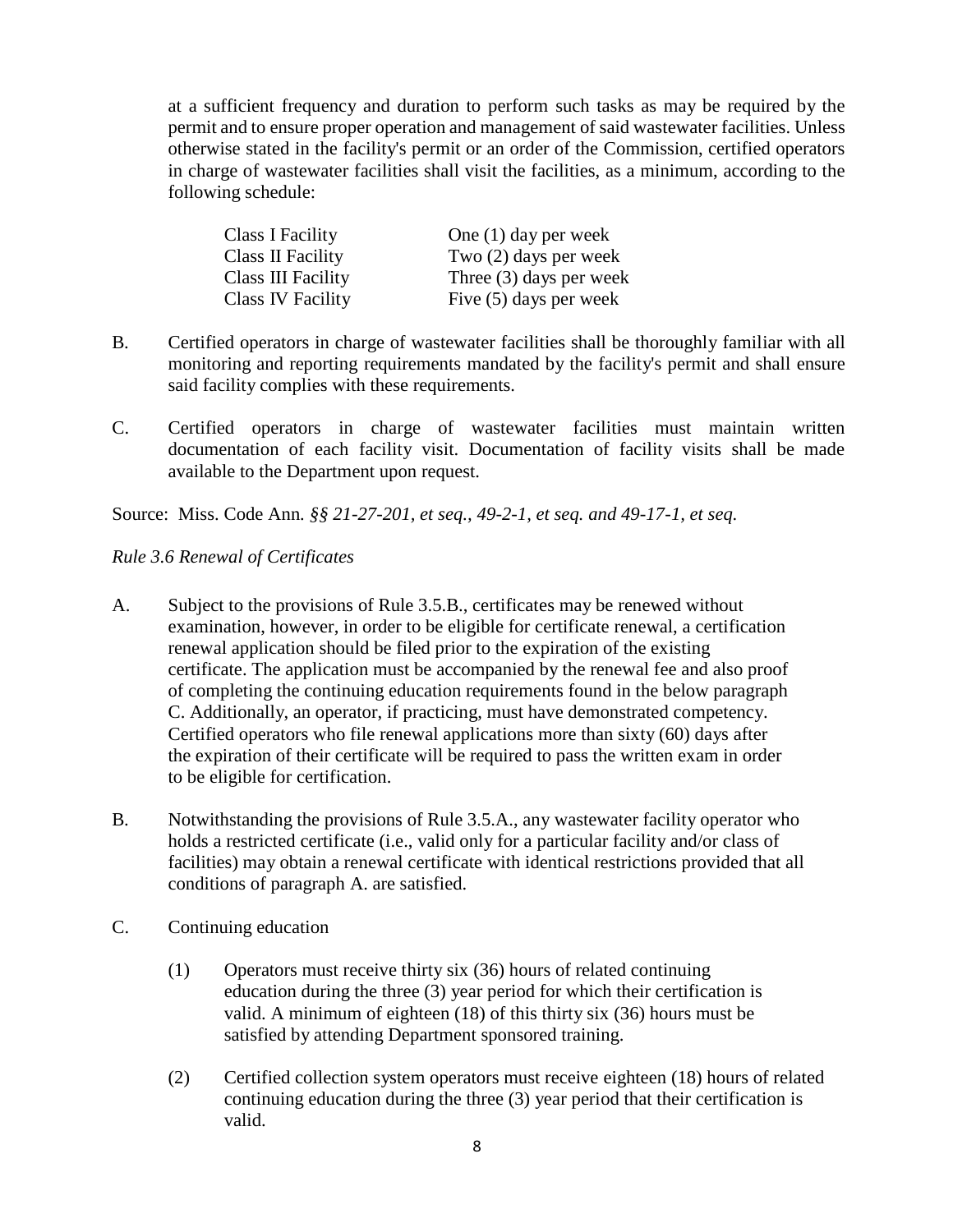at a sufficient frequency and duration to perform such tasks as may be required by the permit and to ensure proper operation and management of said wastewater facilities. Unless otherwise stated in the facility's permit or an order of the Commission, certified operators in charge of wastewater facilities shall visit the facilities, as a minimum, according to the following schedule:

| Class I Facility   | One $(1)$ day per week    |
|--------------------|---------------------------|
| Class II Facility  | Two $(2)$ days per week   |
| Class III Facility | Three $(3)$ days per week |
| Class IV Facility  | Five $(5)$ days per week  |

- B. Certified operators in charge of wastewater facilities shall be thoroughly familiar with all monitoring and reporting requirements mandated by the facility's permit and shall ensure said facility complies with these requirements.
- C. Certified operators in charge of wastewater facilities must maintain written documentation of each facility visit. Documentation of facility visits shall be made available to the Department upon request.

Source: Miss. Code Ann*. §§ 21-27-201, et seq., 49-2-1, et seq. and 49-17-1, et seq.* 

### *Rule 3.6 Renewal of Certificates*

- A. Subject to the provisions of Rule 3.5.B., certificates may be renewed without examination, however, in order to be eligible for certificate renewal, a certification renewal application should be filed prior to the expiration of the existing certificate. The application must be accompanied by the renewal fee and also proof of completing the continuing education requirements found in the below paragraph C. Additionally, an operator, if practicing, must have demonstrated competency. Certified operators who file renewal applications more than sixty (60) days after the expiration of their certificate will be required to pass the written exam in order to be eligible for certification.
- B. Notwithstanding the provisions of Rule 3.5.A., any wastewater facility operator who holds a restricted certificate (i.e., valid only for a particular facility and/or class of facilities) may obtain a renewal certificate with identical restrictions provided that all conditions of paragraph A. are satisfied.
- C. Continuing education
	- (1) Operators must receive thirty six (36) hours of related continuing education during the three (3) year period for which their certification is valid. A minimum of eighteen (18) of this thirty six (36) hours must be satisfied by attending Department sponsored training.
	- (2) Certified collection system operators must receive eighteen (18) hours of related continuing education during the three (3) year period that their certification is valid.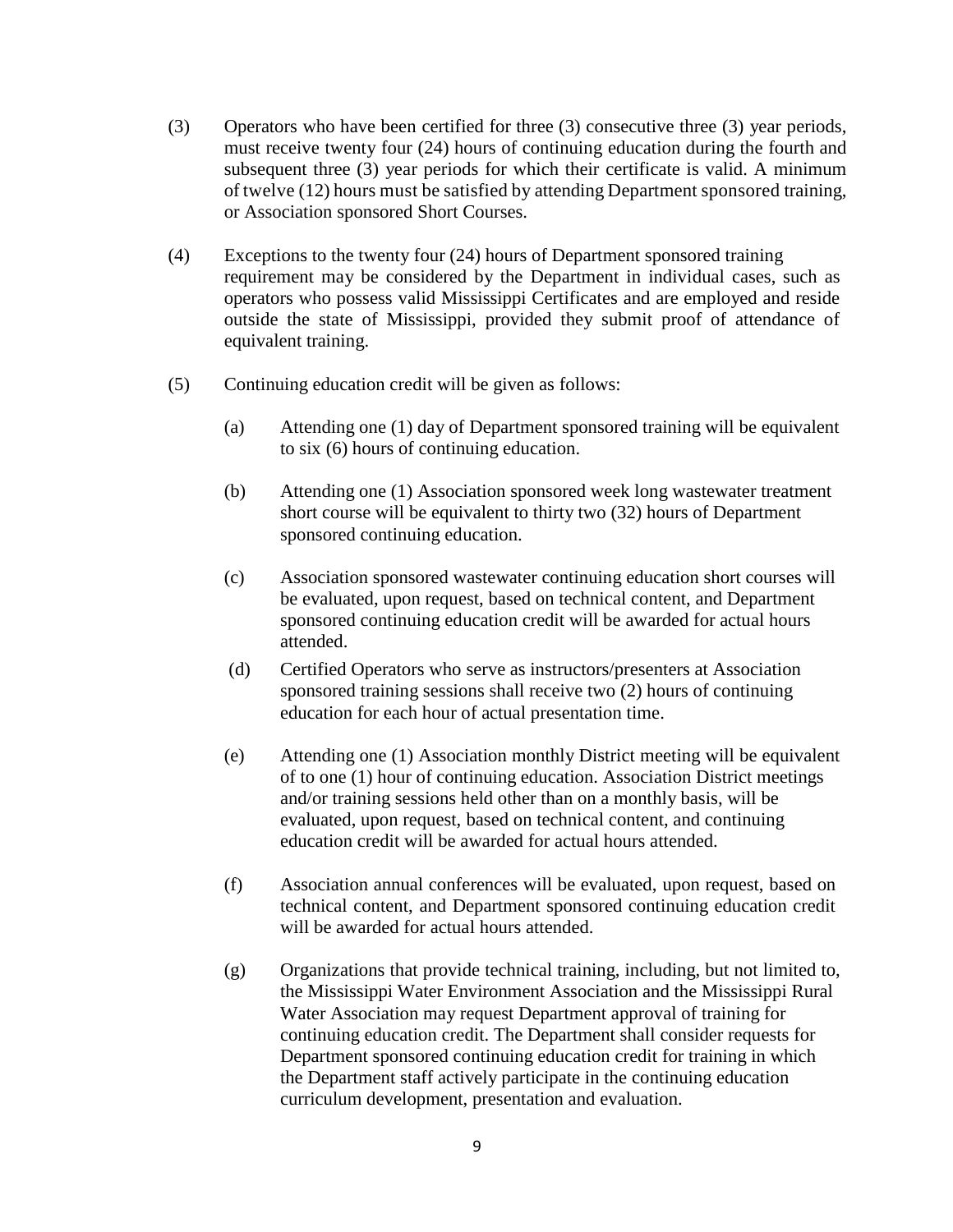- (3) Operators who have been certified for three (3) consecutive three (3) year periods, must receive twenty four (24) hours of continuing education during the fourth and subsequent three (3) year periods for which their certificate is valid. A minimum of twelve (12) hours must be satisfied by attending Department sponsored training, or Association sponsored Short Courses.
- (4) Exceptions to the twenty four (24) hours of Department sponsored training requirement may be considered by the Department in individual cases, such as operators who possess valid Mississippi Certificates and are employed and reside outside the state of Mississippi, provided they submit proof of attendance of equivalent training.
- (5) Continuing education credit will be given as follows:
	- (a) Attending one (1) day of Department sponsored training will be equivalent to six (6) hours of continuing education.
	- (b) Attending one (1) Association sponsored week long wastewater treatment short course will be equivalent to thirty two (32) hours of Department sponsored continuing education.
	- (c) Association sponsored wastewater continuing education short courses will be evaluated, upon request, based on technical content, and Department sponsored continuing education credit will be awarded for actual hours attended.
	- (d) Certified Operators who serve as instructors/presenters at Association sponsored training sessions shall receive two (2) hours of continuing education for each hour of actual presentation time.
	- (e) Attending one (1) Association monthly District meeting will be equivalent of to one (1) hour of continuing education. Association District meetings and/or training sessions held other than on a monthly basis, will be evaluated, upon request, based on technical content, and continuing education credit will be awarded for actual hours attended.
	- (f) Association annual conferences will be evaluated, upon request, based on technical content, and Department sponsored continuing education credit will be awarded for actual hours attended.
	- (g) Organizations that provide technical training, including, but not limited to, the Mississippi Water Environment Association and the Mississippi Rural Water Association may request Department approval of training for continuing education credit. The Department shall consider requests for Department sponsored continuing education credit for training in which the Department staff actively participate in the continuing education curriculum development, presentation and evaluation.